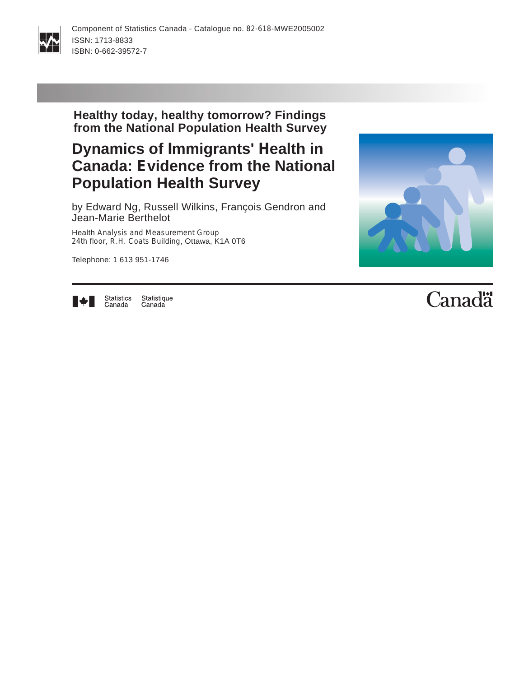

**Healthy today, healthy tomorrow? Findings from the National Population Health Survey**

# **Dynamics of Immigrants' Health in Canada: Evidence from the National Population Health Survey**

by Edward Ng, Russell Wilkins, François Gendron and Jean-Marie Berthelot

Health Analysis and Measurement Group 24th floor, R.H. Coats Building, Ottawa, K1A 0T6

Telephone: 1 613 951-1746





Statistics Statistique Canada Canada

# Canadä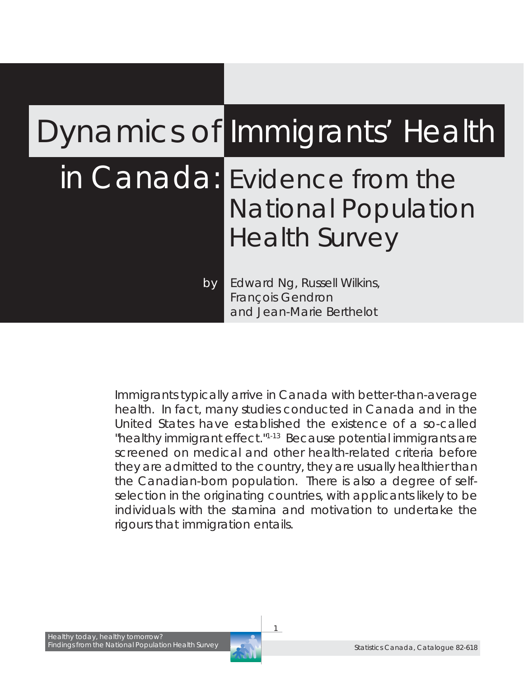# Dynamics of Immigrants' Health

# in Canada: Evidence from the National Population Health Survey

*by Edward Ng, Russell Wilkins, François Gendron and Jean-Marie Berthelot*

*Immigrants typically arrive in Canada with better-than-average health. In fact, many studies conducted in Canada and in the United States have established the existence of a so-called "healthy immigrant effect."1-13 Because potential immigrants are screened on medical and other health-related criteria before they are admitted to the country, they are usually healthier than the Canadian-born population. There is also a degree of selfselection in the originating countries, with applicants likely to be individuals with the stamina and motivation to undertake the rigours that immigration entails.*

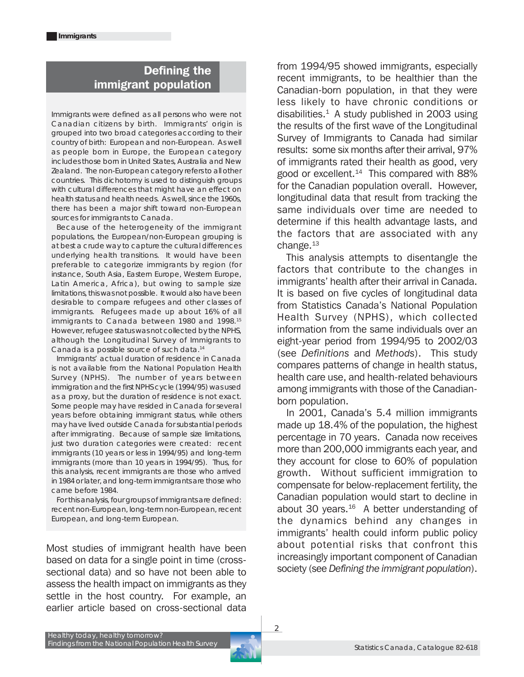### Defining the immigrant population

Immigrants were defined as all persons who were not Canadian citizens by birth. Immigrants' origin is grouped into two broad categories according to their country of birth: European and non-European. As well as people born in Europe, the European category includes those born in United States, Australia and New Zealand. The non-European category refers to all other countries. This dichotomy is used to distinguish groups with cultural differences that might have an effect on health status and health needs. As well, since the 1960s, there has been a major shift toward non-European sources for immigrants to Canada.

Because of the heterogeneity of the immigrant populations, the European/non-European grouping is at best a crude way to capture the cultural differences underlying health transitions. It would have been preferable to categorize immigrants by region (for instance, South Asia, Eastern Europe, Western Europe, Latin America, Africa), but owing to sample size limitations, this was not possible. It would also have been desirable to compare refugees and other classes of immigrants. Refugees made up about 16% of all immigrants to Canada between 1980 and 1998.15 However, refugee status was not collected by the NPHS, although the Longitudinal Survey of Immigrants to Canada is a possible source of such data.14

Immigrants' actual duration of residence in Canada is not available from the National Population Health Survey (NPHS). The number of years between immigration and the first NPHS cycle (1994/95) was used as a proxy, but the duration of residence is not exact. Some people may have resided in Canada for several years before obtaining immigrant status, while others may have lived outside Canada for substantial periods after immigrating. Because of sample size limitations, just two duration categories were created: recent immigrants (10 years or less in 1994/95) and long-term immigrants (more than 10 years in 1994/95). Thus, for this analysis, recent immigrants are those who arrived in 1984 or later, and long-term immigrants are those who came before 1984.

For this analysis, four groups of immigrants are defined: recent non-European, long-term non-European, recent European, and long-term European.

Most studies of immigrant health have been based on data for a single point in time (crosssectional data) and so have not been able to assess the health impact on immigrants as they settle in the host country. For example, an earlier article based on cross-sectional data

from 1994/95 showed immigrants, especially recent immigrants, to be healthier than the Canadian-born population, in that they were less likely to have chronic conditions or disabilities. $1$  A study published in 2003 using the results of the first wave of the Longitudinal Survey of Immigrants to Canada had similar results: some six months after their arrival, 97% of immigrants rated their health as good, very good or excellent. $14$  This compared with 88% for the Canadian population overall. However, longitudinal data that result from tracking the same individuals over time are needed to determine if this health advantage lasts, and the factors that are associated with any change. $13$ 

This analysis attempts to disentangle the factors that contribute to the changes in immigrants' health after their arrival in Canada. It is based on five cycles of longitudinal data from Statistics Canada's National Population Health Survey (NPHS), which collected information from the same individuals over an eight-year period from 1994/95 to 2002/03 (see *Definitions* and *Methods*). This study compares patterns of change in health status, health care use, and health-related behaviours among immigrants with those of the Canadianborn population.

In 2001, Canada's 5.4 million immigrants made up 18.4% of the population, the highest percentage in 70 years. Canada now receives more than 200,000 immigrants each year, and they account for close to 60% of population growth. Without sufficient immigration to compensate for below-replacement fertility, the Canadian population would start to decline in about 30 years. $16$  A better understanding of the dynamics behind any changes in immigrants' health could inform public policy about potential risks that confront this increasingly important component of Canadian society (see *Defining the immigrant population*).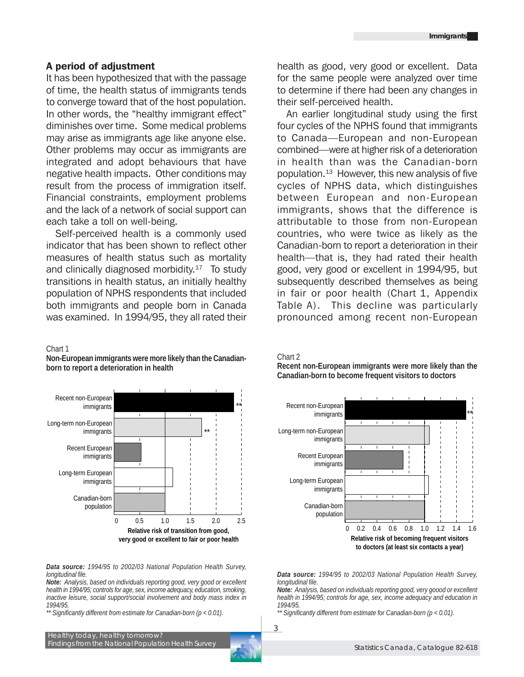#### A period of adjustment

It has been hypothesized that with the passage of time, the health status of immigrants tends to converge toward that of the host population. In other words, the "healthy immigrant effect" diminishes over time. Some medical problems may arise as immigrants age like anyone else. Other problems may occur as immigrants are integrated and adopt behaviours that have negative health impacts. Other conditions may result from the process of immigration itself. Financial constraints, employment problems and the lack of a network of social support can each take a toll on well-being.

Self-perceived health is a commonly used indicator that has been shown to reflect other measures of health status such as mortality and clinically diagnosed morbidity.<sup>17</sup> To study transitions in health status, an initially healthy population of NPHS respondents that included both immigrants and people born in Canada was examined. In 1994/95, they all rated their

#### Chart 1

**Non-European immigrants were more likely than the Canadianborn to report a deterioration in health**



*Data source: 1994/95 to 2002/03 National Population Health Survey, longitudinal file.*

*Note: Analysis, based on individuals reporting good, very good or excellent health in 1994/95; controls for age, sex, income adequacy, education, smoking, inactive leisure, social support/social involvement and body mass index in 1994/95.*

*\*\* Significantly different from estimate for Canadian-born (p < 0.01).*

health as good, very good or excellent. Data for the same people were analyzed over time to determine if there had been any changes in their self-perceived health.

An earlier longitudinal study using the first four cycles of the NPHS found that immigrants to Canada—European and non-European combined—were at higher risk of a deterioration in health than was the Canadian-born population. $13$  However, this new analysis of five cycles of NPHS data, which distinguishes between European and non-European immigrants, shows that the difference is attributable to those from non-European countries, who were twice as likely as the Canadian-born to report a deterioration in their health—that is, they had rated their health good, very good or excellent in 1994/95, but subsequently described themselves as being in fair or poor health (Chart 1, Appendix Table A). This decline was particularly pronounced among recent non-European

Chart 2

**Recent non-European immigrants were more likely than the Canadian-born to become frequent visitors to doctors**



*Data source: 1994/95 to 2002/03 National Population Health Survey, longitudinal file.*

*Note: Analysis, based on individuals reporting good, very goood or excellent health in 1994/95; controls for age, sex, income adequacy and education in 1994/95.*

*\*\* Significantly different from estimate for Canadian-born (p < 0.01).*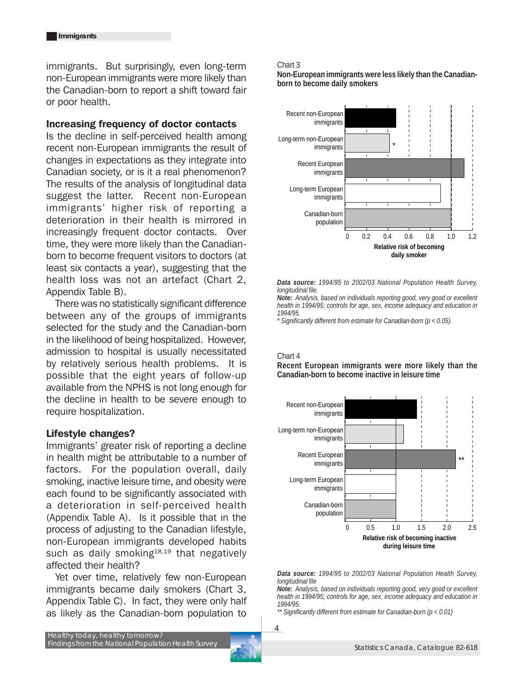immigrants. But surprisingly, even long-term non-European immigrants were more likely than the Canadian-born to report a shift toward fair or poor health.

#### Increasing frequency of doctor contacts

Is the decline in self-perceived health among recent non-European immigrants the result of changes in expectations as they integrate into Canadian society, or is it a real phenomenon? The results of the analysis of longitudinal data suggest the latter. Recent non-European immigrants' higher risk of reporting a deterioration in their health is mirrored in increasingly frequent doctor contacts. Over time, they were more likely than the Canadianborn to become frequent visitors to doctors (at least six contacts a year), suggesting that the health loss was not an artefact (Chart 2, Appendix Table B).

There was no statistically significant difference between any of the groups of immigrants selected for the study and the Canadian-born in the likelihood of being hospitalized. However, admission to hospital is usually necessitated by relatively serious health problems. It is possible that the eight years of follow-up available from the NPHS is not long enough for the decline in health to be severe enough to require hospitalization.

#### Lifestyle changes?

Immigrants' greater risk of reporting a decline in health might be attributable to a number of factors. For the population overall, daily smoking, inactive leisure time, and obesity were each found to be significantly associated with a deterioration in self-perceived health (Appendix Table A). Is it possible that in the process of adjusting to the Canadian lifestyle, non-European immigrants developed habits such as daily smoking $18,19$  that negatively affected their health?

Yet over time, relatively few non-European immigrants became daily smokers (Chart 3, Appendix Table C). In fact, they were only half as likely as the Canadian-born population to

#### Chart 3

**Non-European immigrants were less likely than the Canadianborn to become daily smokers**



*Data source: 1994/95 to 2002/03 National Population Health Survey, longitudinal file.*

*Note: Analysis, based on individuals reporting good, very good or excellent health in 1994/95; controls for age, sex, income adequacy and education in 1994/95.*

*\* Significantly different from estimate for Canadian-born (p < 0.05).*

#### Chart 4

**Recent European immigrants were more likely than the Canadian-born to become inactive in leisure time**



*Data source: 1994/95 to 2002/03 National Population Health Survey, longitudinal file*

*Note: Analysis, based on individuals reporting good, very good or excellent health in 1994/95; controls for age, sex, income adequacy and education in 1994/95.*

*\*\* Significantly different from estimate for Canadian-born (p < 0.01)*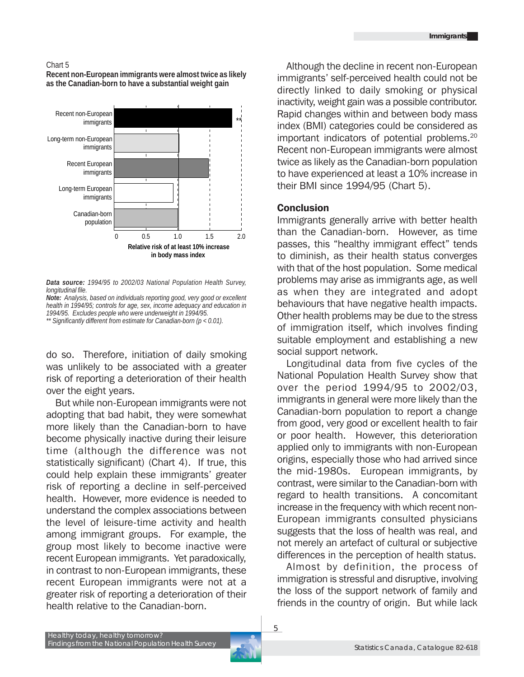#### Chart 5

**Recent non-European immigrants were almost twice as likely as the Canadian-born to have a substantial weight gain**



*Data source: 1994/95 to 2002/03 National Population Health Survey, longitudinal file.*

do so. Therefore, initiation of daily smoking was unlikely to be associated with a greater risk of reporting a deterioration of their health over the eight years.

But while non-European immigrants were not adopting that bad habit, they were somewhat more likely than the Canadian-born to have become physically inactive during their leisure time (although the difference was not statistically significant) (Chart 4). If true, this could help explain these immigrants' greater risk of reporting a decline in self-perceived health. However, more evidence is needed to understand the complex associations between the level of leisure-time activity and health among immigrant groups. For example, the group most likely to become inactive were recent European immigrants. Yet paradoxically, in contrast to non-European immigrants, these recent European immigrants were not at a greater risk of reporting a deterioration of their health relative to the Canadian-born.

Although the decline in recent non-European immigrants' self-perceived health could not be directly linked to daily smoking or physical inactivity, weight gain was a possible contributor. Rapid changes within and between body mass index (BMI) categories could be considered as important indicators of potential problems.20 Recent non-European immigrants were almost twice as likely as the Canadian-born population to have experienced at least a 10% increase in their BMI since 1994/95 (Chart 5).

#### **Conclusion**

Immigrants generally arrive with better health than the Canadian-born. However, as time passes, this "healthy immigrant effect" tends to diminish, as their health status converges with that of the host population. Some medical problems may arise as immigrants age, as well as when they are integrated and adopt behaviours that have negative health impacts. Other health problems may be due to the stress of immigration itself, which involves finding suitable employment and establishing a new social support network.

Longitudinal data from five cycles of the National Population Health Survey show that over the period 1994/95 to 2002/03, immigrants in general were more likely than the Canadian-born population to report a change from good, very good or excellent health to fair or poor health. However, this deterioration applied only to immigrants with non-European origins, especially those who had arrived since the mid-1980s. European immigrants, by contrast, were similar to the Canadian-born with regard to health transitions. A concomitant increase in the frequency with which recent non-European immigrants consulted physicians suggests that the loss of health was real, and not merely an artefact of cultural or subjective differences in the perception of health status.

Almost by definition, the process of immigration is stressful and disruptive, involving the loss of the support network of family and friends in the country of origin. But while lack

*Note: Analysis, based on individuals reporting good, very good or excellent health in 1994/95; controls for age, sex, income adequacy and education in 1994/95. Excludes people who were underweight in 1994/95.*

*<sup>\*\*</sup> Significantly different from estimate for Canadian-born (p < 0.01).*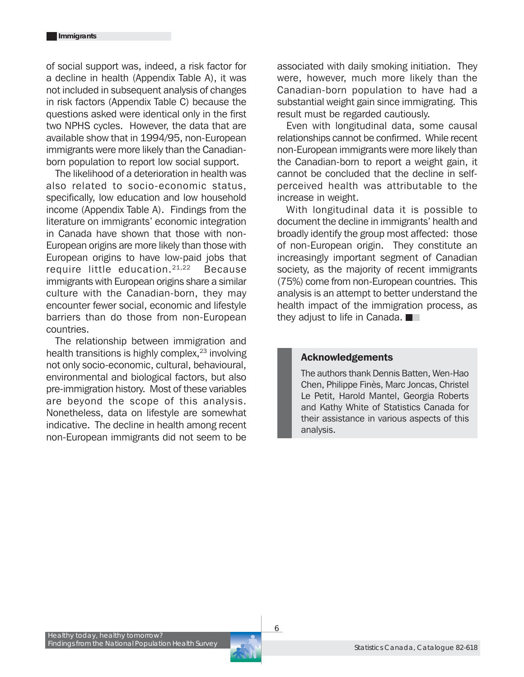of social support was, indeed, a risk factor for a decline in health (Appendix Table A), it was not included in subsequent analysis of changes in risk factors (Appendix Table C) because the questions asked were identical only in the first two NPHS cycles. However, the data that are available show that in 1994/95, non-European immigrants were more likely than the Canadianborn population to report low social support.

The likelihood of a deterioration in health was also related to socio-economic status, specifically, low education and low household income (Appendix Table A). Findings from the literature on immigrants' economic integration in Canada have shown that those with non-European origins are more likely than those with European origins to have low-paid jobs that require little education.<sup>21,22</sup> Because immigrants with European origins share a similar culture with the Canadian-born, they may encounter fewer social, economic and lifestyle barriers than do those from non-European countries.

The relationship between immigration and health transitions is highly complex,  $23$  involving not only socio-economic, cultural, behavioural, environmental and biological factors, but also pre-immigration history. Most of these variables are beyond the scope of this analysis. Nonetheless, data on lifestyle are somewhat indicative. The decline in health among recent non-European immigrants did not seem to be

associated with daily smoking initiation. They were, however, much more likely than the Canadian-born population to have had a substantial weight gain since immigrating. This result must be regarded cautiously.

Even with longitudinal data, some causal relationships cannot be confirmed. While recent non-European immigrants were more likely than the Canadian-born to report a weight gain, it cannot be concluded that the decline in selfperceived health was attributable to the increase in weight.

With longitudinal data it is possible to document the decline in immigrants' health and broadly identify the group most affected: those of non-European origin. They constitute an increasingly important segment of Canadian society, as the majority of recent immigrants (75%) come from non-European countries. This analysis is an attempt to better understand the health impact of the immigration process, as they adjust to life in Canada.

#### Acknowledgements

The authors thank Dennis Batten, Wen-Hao Chen, Philippe Finès, Marc Joncas, Christel Le Petit, Harold Mantel, Georgia Roberts and Kathy White of Statistics Canada for their assistance in various aspects of this analysis.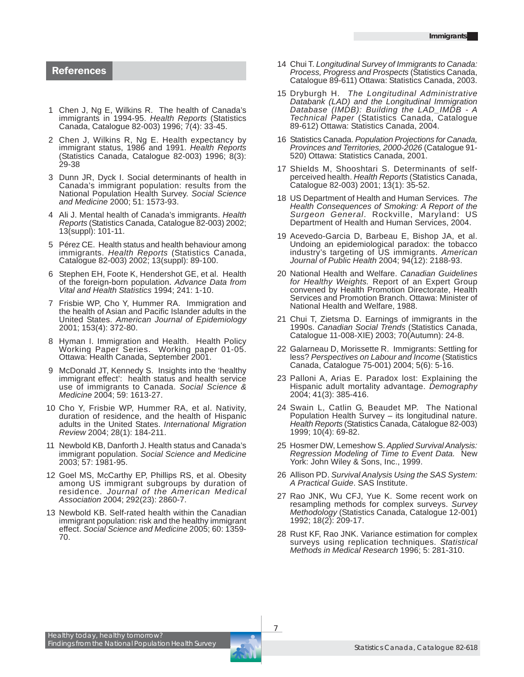#### References

- 1 Chen J, Ng E, Wilkins R. The health of Canada's immigrants in 1994-95. *Health Reports* (Statistics Canada, Catalogue 82-003) 1996; 7(4): 33-45.
- 2 Chen J, Wilkins R, Ng E. Health expectancy by immigrant status, 1986 and 1991. *Health Reports* (Statistics Canada, Catalogue 82-003) 1996; 8(3): 29-38
- 3 Dunn JR, Dyck I. Social determinants of health in Canada's immigrant population: results from the National Population Health Survey. *Social Science and Medicine* 2000; 51: 1573-93.
- 4 Ali J. Mental health of Canada's immigrants. *Health Reports* (Statistics Canada, Catalogue 82-003) 2002; 13(suppl): 101-11.
- 5 Pérez CE. Health status and health behaviour among immigrants. *Health Reports* (Statistics Canada, Catalogue 82-003) 2002; 13(suppl): 89-100.
- 6 Stephen EH, Foote K, Hendershot GE, et al. Health of the foreign-born population. *Advance Data from Vital and Health Statistics* 1994; 241: 1-10.
- 7 Frisbie WP, Cho Y, Hummer RA. Immigration and the health of Asian and Pacific Islander adults in the United States. *American Journal of Epidemiology* 2001; 153(4): 372-80.
- 8 Hyman I. Immigration and Health. Health Policy Working Paper Series. Working paper 01-05. Ottawa: Health Canada, September 2001.
- 9 McDonald JT, Kennedy S. Insights into the 'healthy immigrant effect': health status and health service use of immigrants to Canada. *Social Science & Medicine* 2004; 59: 1613-27.
- 10 Cho Y, Frisbie WP, Hummer RA, et al. Nativity, duration of residence, and the health of Hispanic adults in the United States. *International Migration Review* 2004; 28(1): 184-211.
- 11 Newbold KB, Danforth J. Health status and Canada's immigrant population. *Social Science and Medicine* 2003; 57: 1981-95.
- 12 Goel MS, McCarthy EP, Phillips RS, et al. Obesity among US immigrant subgroups by duration of residence. *Journal of the American Medical Association* 2004; 292(23): 2860-7.
- 13 Newbold KB. Self-rated health within the Canadian immigrant population: risk and the healthy immigrant effect. *Social Science and Medicine* 2005; 60: 1359- 70.
- 14 Chui T. *Longitudinal Survey of Immigrants to Canada: Process, Progress and Prospects* (Statistics Canada, Catalogue 89-611) Ottawa: Statistics Canada, 2003.
- 15 Dryburgh H. *The Longitudinal Administrative Databank (LAD) and the Longitudinal Immigration Database (IMDB): Building the LAD\_IMDB - A Technical Paper* (Statistics Canada, Catalogue 89-612) Ottawa: Statistics Canada, 2004.
- 16 Statistics Canada. *Population Projections for Canada, Provinces and Territories, 2000-2026* (Catalogue 91- 520) Ottawa: Statistics Canada, 2001.
- 17 Shields M, Shooshtari S. Determinants of selfperceived health. *Health Reports* (Statistics Canada, Catalogue 82-003) 2001; 13(1): 35-52.
- 18 US Department of Health and Human Services*. The Health Consequences of Smoking: A Report of the Surgeon General*. Rockville, Maryland: US Department of Health and Human Services, 2004.
- 19 Acevedo-Garcia D, Barbeau E, Bishop JA, et al. Undoing an epidemiological paradox: the tobacco industry's targeting of US immigrants. *American Journal of Public Health* 2004; 94(12): 2188-93.
- 20 National Health and Welfare. *Canadian Guidelines for Healthy Weights.* Report of an Expert Group convened by Health Promotion Directorate, Health Services and Promotion Branch. Ottawa: Minister of National Health and Welfare, 1988.
- 21 Chui T, Zietsma D. Earnings of immigrants in the 1990s. *Canadian Social Trends* (Statistics Canada, Catalogue 11-008-XIE) 2003; 70(Autumn): 24-8.
- 22 Galarneau D, Morissette R. Immigrants: Settling for less? *Perspectives on Labour and Income* (Statistics Canada, Catalogue 75-001) 2004; 5(6): 5-16.
- 23 Palloni A, Arias E. Paradox lost: Explaining the Hispanic adult mortality advantage. *Demography* 2004; 41(3): 385-416.
- 24 Swain L, Catlin G, Beaudet MP. The National Population Health Survey – its longitudinal nature. *Health Reports* (Statistics Canada, Catalogue 82-003) 1999; 10(4): 69-82.
- 25 Hosmer DW, Lemeshow S. *Applied Survival Analysis: Regression Modeling of Time to Event Data.* New York: John Wiley & Sons, Inc., 1999.
- 26 Allison PD. *Survival Analysis Using the SAS System: A Practical Guide*. SAS Institute.
- 27 Rao JNK, Wu CFJ, Yue K. Some recent work on resampling methods for complex surveys. *Survey Methodology* (Statistics Canada, Catalogue 12-001) 1992; 18(2): 209-17.
- 28 Rust KF, Rao JNK. Variance estimation for complex surveys using replication techniques. *Statistical Methods in Medical Research* 1996; 5: 281-310.

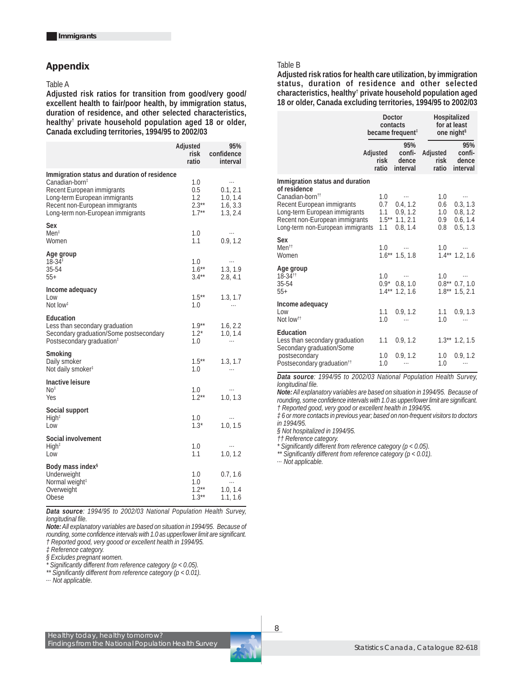#### Appendix

#### Table A

**Adjusted risk ratios for transition from good/very good/ excellent health to fair/poor health, by immigration status, duration of residence, and other selected characteristics, healthy† private household population aged 18 or older, Canada excluding territories, 1994/95 to 2002/03**

|                                                                                                                                                                                                                  | Adjusted<br>risk<br>ratio                 | 95%<br>confidence<br>interval                            |
|------------------------------------------------------------------------------------------------------------------------------------------------------------------------------------------------------------------|-------------------------------------------|----------------------------------------------------------|
| Immigration status and duration of residence<br>Canadian-born <sup>‡</sup><br>Recent European immigrants<br>Long-term European immigrants<br>Recent non-European immigrants<br>Long-term non-European immigrants | 1.0<br>0.5<br>1.2<br>$2.3***$<br>$1.7***$ | $\cdots$<br>0.1, 2.1<br>1.0, 1.4<br>1.6, 3.3<br>1.3, 2.4 |
| Sex<br>Men <sup>‡</sup><br>Women                                                                                                                                                                                 | 1.0<br>1.1                                | $\cdots$<br>0.9, 1.2                                     |
| Age group<br>$18 - 34$ <sup><math>\ddagger</math></sup><br>35-54<br>$55+$                                                                                                                                        | 1.0<br>$1.6***$<br>$3.4***$               | $\ldots$<br>1.3, 1.9<br>2.8, 4.1                         |
| Income adequacy<br>Low<br>Not low <sup>#</sup>                                                                                                                                                                   | $1.5***$<br>1.0                           | 1.3, 1.7<br>$\cdots$                                     |
| Education<br>Less than secondary graduation<br>Secondary graduation/Some postsecondary<br>Postsecondary graduation <sup>t</sup>                                                                                  | $1.9***$<br>$1.2*$<br>1.0                 | 1.6, 2.2<br>1.0, 1.4<br>$\cdots$                         |
| Smoking<br>Daily smoker<br>Not daily smoker <sup>#</sup>                                                                                                                                                         | $1.5***$<br>1.0                           | 1.3, 1.7<br>.                                            |
| Inactive leisure<br>No <sup>†</sup><br>Yes                                                                                                                                                                       | 1.0<br>$1.2***$                           | <br>1.0, 1.3                                             |
| Social support<br>High <sup>‡</sup><br>Low                                                                                                                                                                       | 1.0<br>$1.3*$                             | $\cdots$<br>1.0, 1.5                                     |
| Social involvement<br>High <sup>†</sup><br>Low                                                                                                                                                                   | 1.0<br>1.1                                | $\cdots$<br>1.0, 1.2                                     |
| Body mass index <sup>§</sup><br>Underweight<br>Normal weight <sup>#</sup><br>Overweight<br>Obese                                                                                                                 | 1.0<br>1.0<br>$1.2***$<br>$1.3***$        | 0.7, 1.6<br>1.0, 1.4<br>1.1, 1.6                         |

*Data source: 1994/95 to 2002/03 National Population Health Survey, longitudinal file.*

*Note: All explanatory variables are based on situation in 1994/95. Because of rounding, some confidence intervals with 1.0 as upper/lower limit are significant. † Reported good, very goood or excellent health in 1994/95.*

*‡ Reference category.*

*§ Excludes pregnant women.*

*\* Significantly different from reference category (p < 0.05).*

*\*\* Significantly different from reference category (p < 0.01).*

*... Not applicable.*

#### Table B

**Adjusted risk ratios for health care utilization, by immigration status, duration of residence and other selected characteristics, healthy† private household population aged 18 or older, Canada excluding territories, 1994/95 to 2002/03**

|                                                                                                                                                                                                                      | Doctor<br>contacts<br>became frequent <sup>‡</sup> |                                                                   | Hospitalized<br>for at least<br>one night <sup>§</sup> |                                                          |
|----------------------------------------------------------------------------------------------------------------------------------------------------------------------------------------------------------------------|----------------------------------------------------|-------------------------------------------------------------------|--------------------------------------------------------|----------------------------------------------------------|
|                                                                                                                                                                                                                      | Adjusted<br>risk<br>ratio                          | 95%<br>confi-<br>dence<br>interval                                | Adjusted<br>risk<br>ratio                              | 95%<br>confi-<br>dence<br>interval                       |
| Immigration status and duration<br>of residence<br>Canadian-born <sup>tt</sup><br>Recent European immigrants<br>Long-term European immigrants<br>Recent non-European immigrants<br>Long-term non-European immigrants | 1.0<br>0.7<br>1.1<br>1.1                           | $\cdots$<br>0.4, 1.2<br>0.9, 1.2<br>$1.5***$ 1.1, 2.1<br>0.8, 1.4 | 1.0<br>0.6<br>1.0<br>0.9<br>0.8                        | $\cdots$<br>0.3, 1.3<br>0.8, 1.2<br>0.6, 1.4<br>0.5, 1.3 |
| Sex<br>Men <sup>tt</sup><br>Women                                                                                                                                                                                    | 1.0                                                | $\sim$ 100 $\pm$ 100<br>$1.6***$ 1.5, 1.8                         | 1.0                                                    | $1.4***$ 1.2, 1.6                                        |
| Age group<br>18-34 <sup>tt</sup><br>35-54<br>$55+$                                                                                                                                                                   | 1.0<br>$0.9*$<br>$1.4***$                          | $\cdots$<br>0.8, 1.0<br>1.2, 1.6                                  | 1.0<br>$1.8***$                                        | $\ldots$<br>$0.8**$ 0.7, 1.0<br>1.5, 2.1                 |
| Income adequacy<br>Low<br>Not low <sup>tt</sup>                                                                                                                                                                      | 1.1<br>1.0                                         | 0.9, 1.2                                                          | 1.1<br>1.0                                             | 0.9, 1.3                                                 |
| Education<br>Less than secondary graduation<br>Secondary graduation/Some<br>postsecondary<br>Postsecondary graduation <sup>11</sup>                                                                                  | 1.1<br>1.0<br>1.0                                  | 0.9, 1.2<br>0.9.1.2<br>.                                          | 1.0<br>1.0                                             | $1.3***$ 1.2, 1.5<br>0.9.1.2<br>                         |

*Data source: 1994/95 to 2002/03 National Population Health Survey, longitudinal file.*

*Note: All explanatory variables are based on situation in 1994/95. Because of rounding, some confidence intervals with 1.0 as upper/lower limit are significant. † Reported good, very good or excellent health in 1994/95.*

*‡ 6 or more contacts in previous year; based on non-frequent visitors to doctors in 1994/95.*

*§ Not hospitalized in 1994/95.*

*†† Reference category.*

*\* Significantly different from reference category (p < 0.05).*

*\*\* Significantly different from reference category (p < 0.01).*

*... Not applicable.*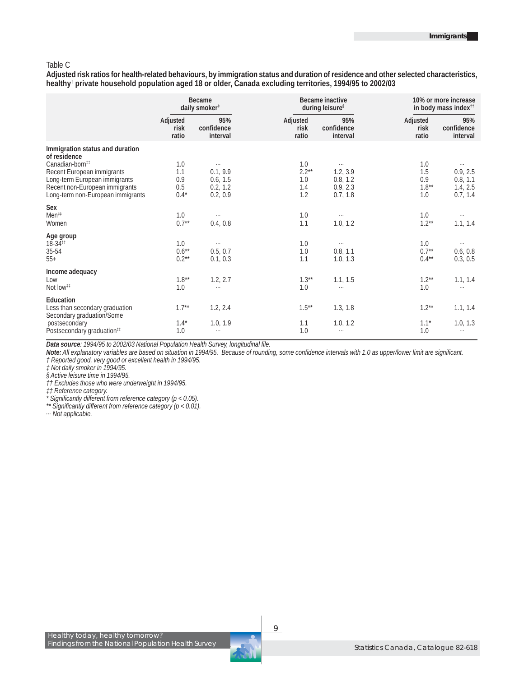#### Table C

**Adjusted risk ratios for health-related behaviours, by immigration status and duration of residence and other selected characteristics, healthy† private household population aged 18 or older, Canada excluding territories, 1994/95 to 2002/03**

|                                                                                                                                                                                                                      | Became<br>daily smoker <sup>#</sup> |                                                          | Became inactive<br>during leisure <sup>§</sup> |                                                          | 10% or more increase<br>in body mass index <sup>11</sup> |                                                          |
|----------------------------------------------------------------------------------------------------------------------------------------------------------------------------------------------------------------------|-------------------------------------|----------------------------------------------------------|------------------------------------------------|----------------------------------------------------------|----------------------------------------------------------|----------------------------------------------------------|
|                                                                                                                                                                                                                      | Adjusted<br>risk<br>ratio           | 95%<br>confidence<br>interval                            | Adjusted<br>risk<br>ratio                      | 95%<br>confidence<br>interval                            | Adjusted<br>risk<br>ratio                                | 95%<br>confidence<br>interval                            |
| Immigration status and duration<br>of residence<br>Canadian-born <sup>##</sup><br>Recent European immigrants<br>Long-term European immigrants<br>Recent non-European immigrants<br>Long-term non-European immigrants | 1.0<br>1.1<br>0.9<br>0.5<br>$0.4*$  | $\cdots$<br>0.1, 9.9<br>0.6, 1.5<br>0.2, 1.2<br>0.2, 0.9 | 1.0<br>$2.2***$<br>1.0<br>1.4<br>1.2           | $\cdots$<br>1.2, 3.9<br>0.8, 1.2<br>0.9, 2.3<br>0.7, 1.8 | 1.0<br>1.5<br>0.9<br>$1.8***$<br>1.0                     | $\cdots$<br>0.9, 2.5<br>0.8, 1.1<br>1.4, 2.5<br>0.7, 1.4 |
| Sex<br>Men <sup>11</sup><br>Women                                                                                                                                                                                    | 1.0<br>$0.7**$                      | $\cdots$<br>0.4, 0.8                                     | 1.0<br>1.1                                     | $\cdots$<br>1.0, 1.2                                     | 1.0<br>$1.2***$                                          | $\cdots$<br>1.1, 1.4                                     |
| Age group<br>$18-34$ <sup>##</sup><br>35-54<br>$55+$                                                                                                                                                                 | 1.0<br>$0.6***$<br>$0.2**$          | $\cdots$<br>0.5, 0.7<br>0.1, 0.3                         | 1.0<br>1.0<br>1.1                              | $\cdots$<br>0.8, 1.1<br>1.0, 1.3                         | 1.0<br>$0.7**$<br>$0.4***$                               | $\cdots$<br>0.6, 0.8<br>0.3, 0.5                         |
| Income adequacy<br>Low<br>Not low <sup>##</sup>                                                                                                                                                                      | $1.8***$<br>1.0                     | 1.2, 2.7<br>$\cdots$                                     | $1.3***$<br>1.0                                | 1.1, 1.5<br>$\ldots$                                     | $1.2**$<br>1.0                                           | 1.1, 1.4<br>$\cdots$                                     |
| Education<br>Less than secondary graduation<br>Secondary graduation/Some<br>postsecondary<br>Postsecondary graduation <sup>11</sup>                                                                                  | $1.7**$<br>$1.4*$<br>1.0            | 1.2, 2.4<br>1.0, 1.9<br>$\cdots$                         | $1.5***$<br>1.1<br>1.0                         | 1.3, 1.8<br>1.0, 1.2<br>$\cdots$                         | $1.2***$<br>$1.1*$<br>1.0                                | 1.1, 1.4<br>1.0, 1.3<br>$\cdots$                         |

*Data source: 1994/95 to 2002/03 National Population Health Survey, longitudinal file.*

*Note: All explanatory variables are based on situation in 1994/95. Because of rounding, some confidence intervals with 1.0 as upper/lower limit are significant. † Reported good, very good or excellent health in 1994/95.*

*‡ Not daily smoker in 1994/95.*

*§ Active leisure time in 1994/95.*

*†† Excludes those who were underweight in 1994/95.*

*‡‡ Reference category.*

*\* Significantly different from reference category (p < 0.05).*

*\*\* Significantly different from reference category (p < 0.01).*

*... Not applicable.*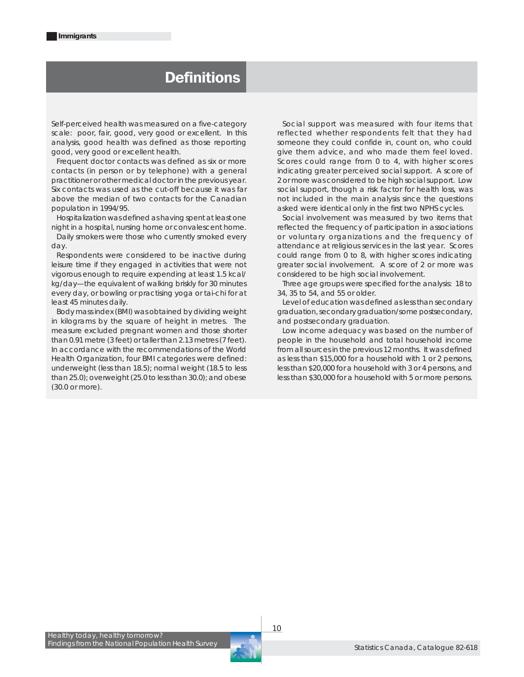## **Definitions**

*Self-perceived health* was measured on a five-category scale: poor, fair, good, very good or excellent. In this analysis, good health was defined as those reporting good, very good or excellent health.

*Frequent doctor contacts* was defined as six or more contacts (in person or by telephone) with a general practitioner or other medical doctor in the previous year. Six contacts was used as the cut-off because it was far above the median of two contacts for the Canadian population in 1994/95.

*Hospitalization* was defined as having spent at least one night in a hospital, nursing home or convalescent home.

*Daily smokers* were those who currently smoked every day.

Respondents were considered to be *inactive during leisure time* if they engaged in activities that were not vigorous enough to require expending at least 1.5 kcal/ kg/day—the equivalent of walking briskly for 30 minutes every day, or bowling or practising yoga or tai-chi for at least 45 minutes daily.

*Body mass index (BMI)* was obtained by dividing weight in kilograms by the square of height in metres. The measure excluded pregnant women and those shorter than 0.91 metre (3 feet) or taller than 2.13 metres (7 feet). In accordance with the recommendations of the World Health Organization, four BMI categories were defined: underweight (less than 18.5); normal weight (18.5 to less than 25.0); overweight (25.0 to less than 30.0); and obese (30.0 or more).

*Social support* was measured with four items that reflected whether respondents felt that they had someone they could confide in, count on, who could give them advice, and who made them feel loved. Scores could range from 0 to 4, with higher scores indicating greater perceived social support. A score of 2 or more was considered to be high social support. Low social support, though a risk factor for health loss, was not included in the main analysis since the questions asked were identical only in the first two NPHS cycles.

*Social involvement* was measured by two items that reflected the frequency of participation in associations or voluntary organizations and the frequency of attendance at religious services in the last year. Scores could range from 0 to 8, with higher scores indicating greater social involvement. A score of 2 or more was considered to be high social involvement.

Three *age groups* were specified for the analysis: 18 to 34, 35 to 54, and 55 or older.

Level of *education* was defined as less than secondary graduation, secondary graduation/some postsecondary, and postsecondary graduation.

Low *income adequacy* was based on the number of people in the household and total household income from all sources in the previous 12 months. It was defined as less than \$15,000 for a household with 1 or 2 persons, less than \$20,000 for a household with 3 or 4 persons, and less than \$30,000 for a household with 5 or more persons.